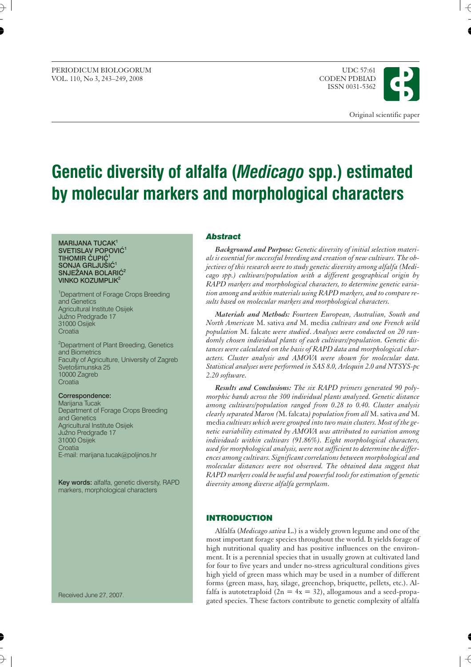PERIODICUM BIOLOGORUM UDC 57:61 VOL. 110, No 3, 243-249, 2008

ISSN 0031-5362



# **Genetic diversity of alfalfa (***Medicago* **spp.) estimated by molecular markers and morphological characters**

#### **MARIJANA TUCAK1 SVETISLAV POPOVIĆ<sup>1</sup> TIHOMIR ČUPIĆ**<sup>1</sup> SONJA GRLJUŠIĆ<sup>1</sup> **SNJEŽANA BOLARIĆ<sup>2</sup> VINKO KOZUMPLIK2**

<sup>1</sup>Department of Forage Crops Breeding and Genetics Agricultural Institute Osijek Južno Predgrađe 17 31000 Osijek **Croatia** 

<sup>2</sup>Department of Plant Breeding, Genetics and Biometrics Faculty of Agriculture, University of Zagreb Svetošimunska 25 10000 Zagreb **Croatia** 

#### **Correspondence:**

Marijana Tucak Department of Forage Crops Breeding and Genetics Agricultural Institute Osijek Južno Predgrađe 17 31000 Osijek Croatia E-mail: marijana.tucak*@*poljinos.hr

**Key words:** alfalfa, genetic diversity, RAPD markers, morphological characters

Received June 27, 2007.

#### *Abstract*

*Background and Purpose: Genetic diversity of initial selection materials is essential for successful breeding and creation of new cultivars. The objectives of this research were to study genetic diversity among alfalfa (Medicago spp.) cultivars*/*population with a different geographical origin by RAPD markers and morphological characters, to determine genetic variation among and within materials using RAPD markers, and to compare results based on molecular markers and morphological characters.*

*Materials and Methods: Fourteen European, Australian, South and North American* M. sativa *and* M. media *cultivars and one French wild population* M. falcate *were studied*. *Analyses were conducted on 20 randomly chosen individual plants of each cultivars/population. Genetic distances were calculated on the basis of RAPD data and morphological characters. Cluster analysis and AMOVA were shown for molecular data. Statistical analyses were performed in SAS 8.0, Arlequin 2.0 and NTSYS-pc 2.20 software.*

*Results and Conclusions: The six RAPD primers generated 90 polymorphic bands across the 300 individual plants analyzed. Genetic distance among cultivars/population ranged from 0.28 to 0.40. Cluster analysis clearly separated Maron (*M. falcata*) population from all* M. sativa *and* M. media *cultivars which were grouped into two main clusters. Most of the genetic variability estimated by AMOVA was attributed to variation among individuals within cultivars (91.86%). Eight morphological characters, used for morphological analysis, were not sufficient to determine the differences among cultivars. Significant correlations between morphological and molecular distances were not observed. The obtained data suggest that RAPD markers could be useful and powerful tools for estimation of genetic diversity among diverse alfalfa germplasm.*

# **INTRODUCTION**

Alfalfa (*Medicago sativa* L.) is a widely grown legume and one of the most important forage species throughout the world. It yields forage of high nutritional quality and has positive influences on the environment. It is a perennial species that in usually grown at cultivated land for four to five years and under no-stress agricultural conditions gives high yield of green mass which may be used in a number of different forms (green mass, hay, silage, greenchop, briquette, pellets, etc.). Alfalfa is autotetraploid ( $2n = 4x = 32$ ), allogamous and a seed-propagated species. These factors contribute to genetic complexity of alfalfa

 $\overline{\epsilon}$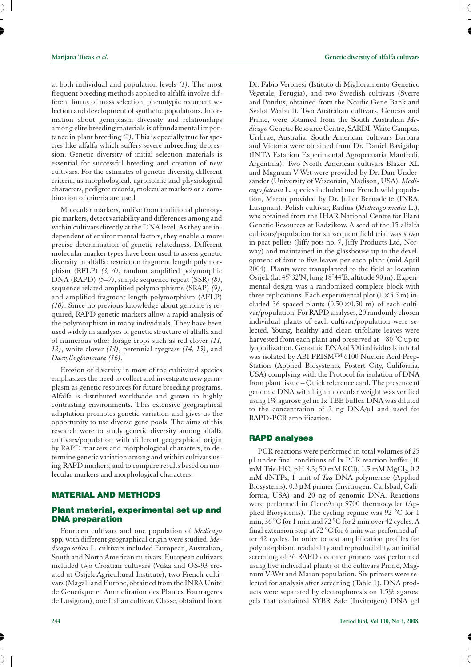at both individual and population levels *(1)*. The most frequent breeding methods applied to alfalfa involve different forms of mass selection, phenotypic recurrent selection and development of synthetic populations. Information about germplasm diversity and relationships among elite breeding materials is of fundamental importance in plant breeding *(2)*. This is epecially true for species like alfalfa which suffers severe inbreeding depression. Genetic diversity of initial selection materials is essential for successful breeding and creation of new cultivars. For the estimates of genetic diversity, different criteria, as morphological, agronomic and physiological characters, pedigree records, molecular markers or a combination of criteria are used.

Molecular markers, unlike from traditional phenotypic markers, detect variability and differences among and within cultivars directly at the DNA level. As they are independent of environmental factors, they enable a more precise determination of genetic relatedness. Different molecular marker types have been used to assess genetic diversity in alfalfa: restriction fragment length polymorphism (RFLP) *(3, 4)*, random amplified polymorphic DNA (RAPD) *(5–7)*, simple sequence repeat (SSR) *(8)*, sequence related amplified polymorphisms (SRAP) *(9)*, and amplified fragment length polymorphism (AFLP) *(10)*. Since no previous knowledge about genome is required, RAPD genetic markers allow a rapid analysis of the polymorphism in many individuals. They have been used widely in analyses of genetic structure of alfalfa and of numerous other forage crops such as red clover *(11, 12)*, white clover *(13)*, perennial ryegrass *(14, 15)*, and *Dactylis glomerata (16)*.

Erosion of diversity in most of the cultivated species emphasizes the need to collect and investigate new germplasm as genetic resources for future breeding programs. Alfalfa is distributed worldwide and grown in highly contrasting environments. This extensive geographical adaptation promotes genetic variation and gives us the opportunity to use diverse gene pools. The aims of this research were to study genetic diversity among alfalfa cultivars/population with different geographical origin by RAPD markers and morphological characters, to determine genetic variation among and within cultivars using RAPD markers, and to compare results based on molecular markers and morphological characters.

#### **MATERIAL AND METHODS**

# **Plant material, experimental set up and DNA preparation**

Fourteen cultivars and one population of *Medicago* spp*.* with different geographical origin were studied. *Medicago sativa* L. cultivars included European, Australian, South and North American cultivars. European cultivars included two Croatian cultivars (Vuka and OS-93 created at Osijek Agricultural Institute), two French cultivars (Magali and Europe, obtained from the INRA Unite de Genetique et Ammeliration des Plantes Fourrageres de Lusignan), one Italian cultivar, Classe, obtained from

Dr. Fabio Veronesi (Istituto di Miglioramento Genetico Vegetale, Perugia), and two Swedish cultivars (Sverre and Pondus, obtained from the Nordic Gene Bank and Svalof Weibull). Two Australian cultivars, Genesis and Prime, were obtained from the South Australian *Medicago* Genetic Resource Centre, SARDI, Waite Campus, Urrbrae, Australia. South American cultivars Barbara and Victoria were obtained from Dr. Daniel Basigalup (INTA Estacion Experimental Agropecuaria Manfredi, Argentina). Two North American cultivars Blazer XL and Magnum V-Wet were provided by Dr. Dan Undersander (University of Wisconsin, Madison, USA). *Medicago falcata* L. species included one French wild population, Maron provided by Dr. Julier Bernadette (INRA, Lusignan). Polish cultivar, Radius (*Medicago media* L.), was obtained from the IHAR National Centre for Plant Genetic Resources at Radzikow. A seed of the 15 alfalfa cultivars/population for subsequent field trial was sown in peat pellets (Jiffy pots no. 7, Jiffy Products Ltd, Norway) and maintained in the glasshouse up to the development of four to five leaves per each plant (mid April 2004). Plants were transplanted to the field at location Osijek (lat 45°32'N, long 18°44'E, altitude 90 m). Experimental design was a randomized complete block with three replications. Each experimental plot  $(1 \times 5.5 \text{ m})$  included 36 spaced plants  $(0.50 \times 0.50 \text{ m})$  of each cultivar/population. For RAPD analyses, 20 randomly chosen individual plants of each cultivar/population were selected. Young, healthy and clean trifoliate leaves were harvested from each plant and preserved at  $-80^{\circ}$ C up to lyophilization. Genomic DNA of 300 individuals in total was isolated by ABI PRISMTM 6100 Nucleic Acid Prep-Station (Applied Biosystems, Fostert City, California, USA) complying with the Protocol for isolation of DNA from plant tissue – Quick reference card. The presence of genomic DNA with high molecular weight was verified using 1% agarose gel in 1x TBE buffer. DNA was diluted to the concentration of 2 ng DNA/µl and used for RAPD-PCR amplification.

# **RAPD analyses**

PCR reactions were performed in total volumes of 25  $\mu$ l under final conditions of 1x PCR reaction buffer (10 mM Tris-HCl pH 8.3; 50 mM KCl),  $1.5$  mM MgCl<sub>2</sub>, 0.2 mM dNTPs, 1 unit of *Taq* DNA polymerase (Applied Biosystems), 0.3 µM primer (Invitrogen, Carlsbad, California, USA) and 20 ng of genomic DNA. Reactions were performed in GeneAmp 9700 thermocycler (Applied Biosystems). The cycling regime was 92 °C for 1 min, 36 °C for 1 min and 72 °C for 2 min over 42 cycles. A final extension step at 72 °C for 6 min was performed after 42 cycles. In order to test amplification profiles for polymorphism, readability and reproducibility, an initial screening of 36 RAPD decamer primers was performed using five individual plants of the cultivars Prime, Magnum V-Wet and Maron population. Six primers were selected for analysis after screening (Table 1). DNA products were separated by electrophoresis on 1.5% agarose gels that contained SYBR Safe (Invitrogen) DNA gel

 $\overline{\epsilon}$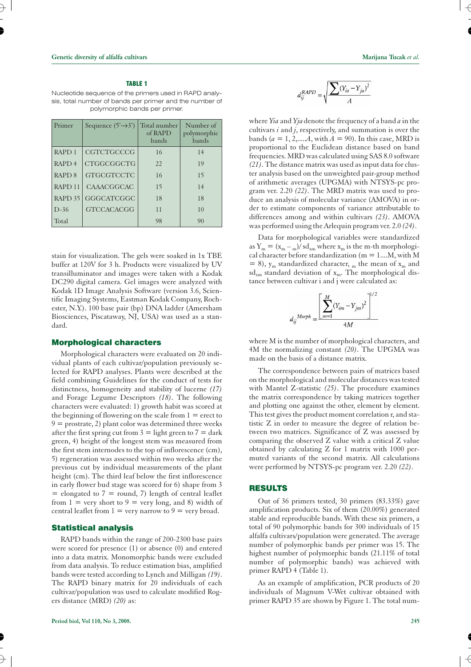#### **TABLE 1**

Nucleotide sequence of the primers used in RAPD analysis, total number of bands per primer and the number of polymorphic bands per primer.

| Primer             | Sequence $(5' \rightarrow 3')$ | Total number<br>of RAPD<br>bands | Number of<br>polymorphic<br>bands |
|--------------------|--------------------------------|----------------------------------|-----------------------------------|
| RAPD <sub>1</sub>  | CGTCTGCCCG                     | 16                               | 14                                |
| RAPD <sub>4</sub>  | CTGGCGGCTG                     | 22                               | 19                                |
| RAPD <sub>8</sub>  | <b>GTGCGTCCTC</b>              | 16                               | 15                                |
| RAPD <sub>11</sub> | CAAACGGCAC                     | 15                               | 14                                |
| RAPD $35$          | GGGCATCGGC                     | 18                               | 18                                |
| $D-36$             | <b>GTCCACACGG</b>              | 11                               | 10                                |
| Total              |                                | 98                               | 90                                |

stain for visualization. The gels were soaked in 1x TBE buffer at 120V for 3 h. Products were visualized by UV transilluminator and images were taken with a Kodak DC290 digital camera. Gel images were analyzed with Kodak 1D Image Analysis Software (version 3.6, Scientific Imaging Systems, Eastman Kodak Company, Rochester, N.Y.). 100 base pair (bp) DNA ladder (Amersham Biosciences, Piscataway, NJ, USA) was used as a standard.

## **Morphological characters**

Morphological characters were evaluated on 20 individual plants of each cultivar/population previously selected for RAPD analyses. Plants were described at the field combining Guidelines for the conduct of tests for distinctness, homogeneity and stability of lucerne *(17)* and Forage Legume Descriptors *(18)*. The following characters were evaluated: 1) growth habit was scored at the beginning of flowering on the scale from  $1 =$  erect to  $9 =$  prostrate, 2) plant color was determined three weeks after the first spring cut from  $3 =$  light green to  $7 =$  dark green, 4) height of the longest stem was measured from the first stem internodes to the top of inflorescence (cm), 5) regeneration was assessed within two weeks after the previous cut by individual measurements of the plant height (cm). The third leaf below the first inflorescence in early flower bud stage was scored for 6) shape from 3  $=$  elongated to  $7 =$  round,  $7$ ) length of central leaflet from  $1 = \text{very short to } 9 = \text{very long, and } 8)$  width of central leaflet from  $1 = \text{very narrow to } 9 = \text{very broad.}$ 

#### **Statistical analysis**

RAPD bands within the range of 200-2300 base pairs were scored for presence (1) or absence (0) and entered into a data matrix. Monomorphic bands were excluded from data analysis. To reduce estimation bias, amplified bands were tested according to Lynch and Milligan *(19)*. The RAPD binary matrix for 20 individuals of each cultivar/population was used to calculate modified Rogers distance (MRD) *(20)* as:

$$
d_{ij}^{RAPD} = \sqrt{\frac{\sum (Y_{ia} - Y_{ja})^2}{A}}
$$

where *Yia* and *Yja*denote the frequency of a band *a* in the cultivars *i* and *j*, respectively, and summation is over the bands ( $a = 1, 2, \dots, \overline{A}$ , with  $\overline{A} = 90$ ). In this case, MRD is proportional to the Euclidean distance based on band frequencies. MRD was calculated using SAS 8.0 software *(21)*. The distance matrix was used as input data for cluster analysis based on the unweighted pair-group method of arithmetic averages (UPGMA) with NTSYS-pc program ver. 2.20 *(22)*. The MRD matrix was used to produce an analysis of molecular variance (AMOVA) in order to estimate components of variance attributable to differences among and within cultivars *(23)*. AMOVA was performed using the Arlequin program ver. 2.0 *(24)*.

Data for morphological variables were standardized as  $Y_m = (x_m - m)/ s d_{xm}$  where  $x_m$  is the m-th morphological character before standardization ( $m = 1...M$ , with M  $= 8$ ),  $y_m$  standardized character,  $_m$  the mean of  $x_m$  and  $sd<sub>xm</sub>$  standard deviation of  $x<sub>m</sub>$ . The morphological distance between cultivar i and j were calculated as:

$$
d_{ij}^{~\;Morph}=\underbrace{\left[\sum_{m=1}^{M}(Y_{im}-Y_{jm})^2\right]^{1/2}}_{4M}
$$

where M is the number of morphological characters, and 4M the normalizing constant *(20)*. The UPGMA was made on the basis of a distance matrix.

The correspondence between pairs of matrices based on the morphological and molecular distances was tested with Mantel Z-statistic *(25)*. The procedure examines the matrix correspondence by taking matrices together and plotting one against the other, element by element. This test gives the product moment correlation r, and statistic Z in order to measure the degree of relation between two matrices. Significance of Z was assessed by comparing the observed Z value with a critical Z value obtained by calculating Z for 1 matrix with 1000 permuted variants of the second matrix. All calculations were performed by NTSYS-pc program ver. 2.20 *(22)*.

# **RESULTS**

Out of 36 primers tested, 30 primers (83.33%) gave amplification products. Six of them (20.00%) generated stable and reproducible bands. With these six primers, a total of 90 polymorphic bands for 300 individuals of 15 alfalfa cultivars/population were generated. The average number of polymorphic bands per primer was 15. The highest number of polymorphic bands (21.11% of total number of polymorphic bands) was achieved with primer RAPD 4 (Table 1).

As an example of amplification, PCR products of 20 individuals of Magnum V-Wet cultivar obtained with primer RAPD 35 are shown by Figure 1. The total num $\overline{\mathcal{A}}$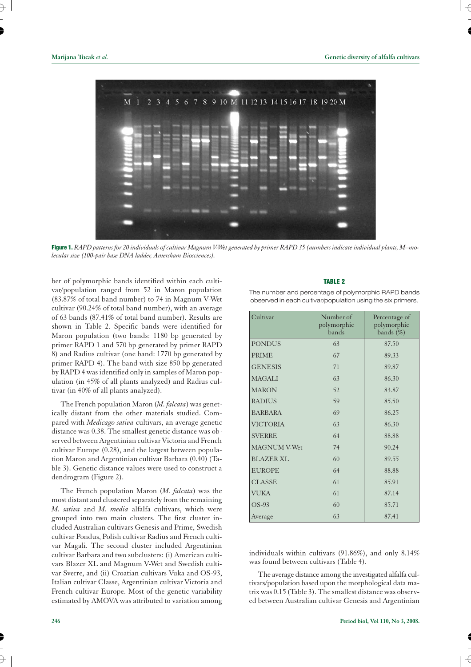

Figure 1. *RAPD patterns for 20 individuals of cultivar Magnum V-Wet generated by primer RAPD 35 (numbers indicate individual plants, M–molecular size (100-pair base DNA ladder, Amersham Biosciences).*

ber of polymorphic bands identified within each cultivar/population ranged from 52 in Maron population (83.87% of total band number) to 74 in Magnum V-Wet cultivar (90.24% of total band number), with an average of 63 bands (87.41% of total band number). Results are shown in Table 2. Specific bands were identified for Maron population (two bands: 1180 bp generated by primer RAPD 1 and 570 bp generated by primer RAPD 8) and Radius cultivar (one band: 1770 bp generated by primer RAPD 4). The band with size 850 bp generated by RAPD 4 was identified only in samples of Maron population (in 45% of all plants analyzed) and Radius cultivar (in 40% of all plants analyzed).

The French population Maron (*M. falcata*) was genetically distant from the other materials studied. Compared with *Medicago sativa* cultivars, an average genetic distance was 0.38. The smallest genetic distance was observed between Argentinian cultivar Victoria and French cultivar Europe (0.28), and the largest between population Maron and Argentinian cultivar Barbara (0.40) (Table 3). Genetic distance values were used to construct a dendrogram (Figure 2).

The French population Maron (*M. falcata*) was the most distant and clustered separately from the remaining *M. sativa* and *M. media* alfalfa cultivars, which were grouped into two main clusters. The first cluster included Australian cultivars Genesis and Prime, Swedish cultivar Pondus, Polish cultivar Radius and French cultivar Magali. The second cluster included Argentinian cultivar Barbara and two subclusters: (i) American cultivars Blazer XL and Magnum V-Wet and Swedish cultivar Sverre, and (ii) Croatian cultivars Vuka and OS-93, Italian cultivar Classe, Argentinian cultivar Victoria and French cultivar Europe. Most of the genetic variability estimated by AMOVA was attributed to variation among

# **TABLE 2**

The number and percentage of polymorphic RAPD bands observed in each cultivar/population using the six primers.

| Cultivar            | Number of<br>polymorphic<br>bands | Percentage of<br>polymorphic<br>bands $(\%)$ |
|---------------------|-----------------------------------|----------------------------------------------|
| <b>PONDUS</b>       | 63                                | 87.50                                        |
| <b>PRIME</b>        | 67                                | 89.33                                        |
| <b>GENESIS</b>      | 71                                | 89.87                                        |
| <b>MAGALI</b>       | 63                                | 86.30                                        |
| <b>MARON</b>        | 52                                | 83.87                                        |
| <b>RADIUS</b>       | 59                                | 85.50                                        |
| <b>BARBARA</b>      | 69                                | 86.25                                        |
| <b>VICTORIA</b>     | 63                                | 86.30                                        |
| <b>SVERRE</b>       | 64                                | 88.88                                        |
| <b>MAGNUM V-Wet</b> | 74                                | 90.24                                        |
| BLAZER XL           | 60                                | 89.55                                        |
| <b>EUROPE</b>       | 64                                | 88.88                                        |
| <b>CLASSE</b>       | 61                                | 85.91                                        |
| <b>VUKA</b>         | 61                                | 87.14                                        |
| OS-93               | 60                                | 85.71                                        |
| Average             | 63                                | 87.41                                        |

individuals within cultivars (91.86%), and only 8.14% was found between cultivars (Table 4).

The average distance among the investigated alfalfa cultivars/population based upon the morphological data matrix was 0.15 (Table 3). The smallest distance was observed between Australian cultivar Genesis and Argentinian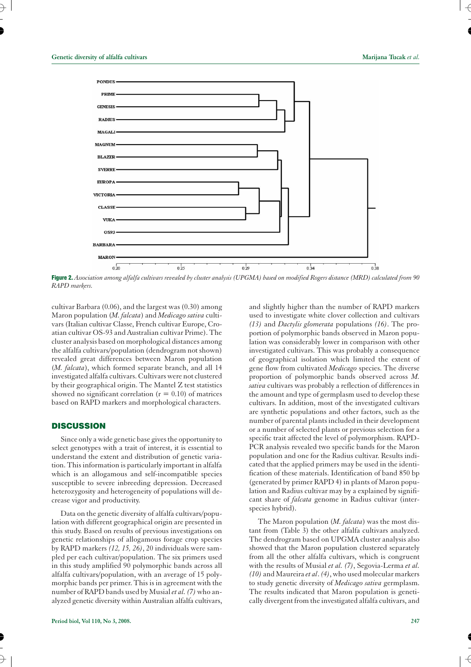

Figure 2. *Association among alfalfa cultivars revealed by cluster analysis (UPGMA) based on modified Rogers distance (MRD) calculated from 90 RAPD markers.*

cultivar Barbara (0.06), and the largest was (0.30) among Maron population (*M. falcata*) and *Medicago sativa* cultivars (Italian cultivar Classe, French cultivar Europe, Croatian cultivar OS-93 and Australian cultivar Prime). The cluster analysis based on morphological distances among the alfalfa cultivars/population (dendrogram not shown) revealed great differences between Maron population (*M. falcata*), which formed separate branch, and all 14 investigated alfalfa cultivars. Cultivars were not clustered by their geographical origin. The Mantel Z test statistics showed no significant correlation  $(r = 0.10)$  of matrices based on RAPD markers and morphological characters.

## **DISCUSSION**

Since only a wide genetic base gives the opportunity to select genotypes with a trait of interest, it is essential to understand the extent and distribution of genetic variation. This information is particularly important in alfalfa which is an allogamous and self-incompatible species susceptible to severe inbreeding depression. Decreased heterozygosity and heterogeneity of populations will decrease vigor and productivity.

Data on the genetic diversity of alfalfa cultivars/population with different geographical origin are presented in this study. Based on results of previous investigations on genetic relationships of allogamous forage crop species by RAPD markers *(12, 15, 26)*, 20 individuals were sampled per each cultivar/population. The six primers used in this study amplified 90 polymorphic bands across all alfalfa cultivars/population, with an average of 15 polymorphic bands per primer. This is in agreement with the number of RAPD bands used by Musial*et al. (7)*who analyzed genetic diversity within Australian alfalfa cultivars,

and slightly higher than the number of RAPD markers used to investigate white clover collection and cultivars *(13)* and *Dactylis glomerata* populations *(16)*. The proportion of polymorphic bands observed in Maron population was considerably lower in comparison with other investigated cultivars. This was probably a consequence of geographical isolation which limited the extent of gene flow from cultivated *Medicago* species. The diverse proportion of polymorphic bands observed across *M. sativa* cultivars was probably a reflection of differences in the amount and type of germplasm used to develop these cultivars. In addition, most of the investigated cultivars are synthetic populations and other factors, such as the number of parental plants included in their development or a number of selected plants or previous selection for a specific trait affected the level of polymorphism. RAPD-PCR analysis revealed two specific bands for the Maron population and one for the Radius cultivar. Results indicated that the applied primers may be used in the identification of these materials. Identification of band 850 bp (generated by primer RAPD 4) in plants of Maron population and Radius cultivar may by a explained by significant share of *falcata* genome in Radius cultivar (interspecies hybrid).

The Maron population (*M. falcata*) was the most distant from (Table 3) the other alfalfa cultivars analyzed. The dendrogram based on UPGMA cluster analysis also showed that the Maron population clustered separately from all the other alfalfa cultivars, which is congruent with the results of Musial *et al. (7)*, Segovia-Lerma *et al. (10)* and Maureira *et al*.*(4)*, who used molecular markers to study genetic diversity of *Medicago sativa* germplasm. The results indicated that Maron population is genetically divergent from the investigated alfalfa cultivars, and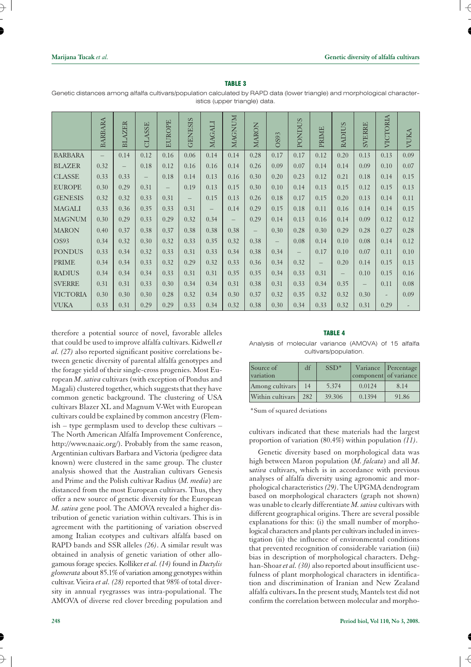$\overline{\mathcal{A}}$ 

| <b>TABLE 3</b>                                                                                                             |
|----------------------------------------------------------------------------------------------------------------------------|
| Genetic distances among alfalfa cultivars/population calculated by RAPD data (lower triangle) and morphological character- |
| istics (upper triangle) data.                                                                                              |

|                 | <b>BARBARA</b>           | <b>AZER</b><br>$_{\rm BI}$ | CLASSE   | <b>EUROPE</b> | <b>GENESIS</b>           | MAGALI                   | MAGNUM                   | <b>MARON</b> | OS93                     | <b>PONDUS</b>            | PRIME                    | RADIUS   | <b>SVERRE</b>            | VICTORIA                 | VUKA     |
|-----------------|--------------------------|----------------------------|----------|---------------|--------------------------|--------------------------|--------------------------|--------------|--------------------------|--------------------------|--------------------------|----------|--------------------------|--------------------------|----------|
| <b>BARBARA</b>  | $\overline{\phantom{0}}$ | 0.14                       | 0.12     | 0.16          | $0.06\,$                 | 0.14                     | 0.14                     | 0.28         | 0.17                     | 0.17                     | 0.12                     | 0.20     | 0.13                     | 0.13                     | 0.09     |
| <b>BLAZER</b>   | 0.32                     | $\overline{\phantom{m}}$   | 0.18     | 0.12          | 0.16                     | 0.16                     | 0.14                     | 0.26         | 0.09                     | 0.07                     | 0.14                     | 0.14     | 0.09                     | 0.10                     | 0.07     |
| <b>CLASSE</b>   | 0.33                     | 0.33                       | $\equiv$ | 0.18          | 0.14                     | 0.13                     | 0.16                     | 0.30         | 0.20                     | 0.23                     | 0.12                     | 0.21     | 0.18                     | 0.14                     | 0.15     |
| <b>EUROPE</b>   | 0.30                     | 0.29                       | 0.31     | $-$           | 0.19                     | 0.13                     | 0.15                     | 0.30         | 0.10                     | 0.14                     | 0.13                     | 0.15     | 0.12                     | 0.15                     | 0.13     |
| <b>GENESIS</b>  | 0.32                     | 0.32                       | 0.33     | 0.31          | $\overline{\phantom{a}}$ | 0.15                     | 0.13                     | 0.26         | 0.18                     | 0.17                     | 0.15                     | 0.20     | 0.13                     | 0.14                     | 0.11     |
| <b>MAGALI</b>   | 0.33                     | 0.36                       | 0.35     | 0.33          | 0.31                     | $\overline{\phantom{m}}$ | 0.14                     | 0.29         | 0.15                     | 0.18                     | 0.11                     | 0.16     | 0.14                     | 0.14                     | 0.15     |
| <b>MAGNUM</b>   | 0.30                     | 0.29                       | 0.33     | 0.29          | 0.32                     | 0.34                     | $\overline{\phantom{m}}$ | 0.29         | 0.14                     | 0.13                     | 0.16                     | 0.14     | 0.09                     | 0.12                     | 0.12     |
| <b>MARON</b>    | 0.40                     | 0.37                       | 0.38     | 0.37          | 0.38                     | 0.38                     | 0.38                     | $ \,$        | 0.30                     | 0.28                     | 0.30                     | 0.29     | 0.28                     | 0.27                     | 0.28     |
| OS93            | 0.34                     | 0.32                       | 0.30     | 0.32          | 0.33                     | 0.35                     | 0.32                     | 0.38         | $\overline{\phantom{0}}$ | 0.08                     | 0.14                     | 0.10     | 0.08                     | 0.14                     | 0.12     |
| <b>PONDUS</b>   | 0.33                     | 0.34                       | 0.32     | 0.33          | 0.31                     | 0.33                     | 0.34                     | 0.38         | 0.34                     | $\overline{\phantom{m}}$ | 0.17                     | 0.10     | 0.07                     | 0.11                     | $0.10\,$ |
| <b>PRIME</b>    | 0.34                     | 0.34                       | 0.33     | 0.32          | 0.29                     | 0.32                     | 0.33                     | 0.36         | 0.34                     | 0.32                     | $\overline{\phantom{m}}$ | 0.20     | 0.14                     | 0.15                     | 0.13     |
| <b>RADIUS</b>   | 0.34                     | 0.34                       | 0.34     | 0.33          | 0.31                     | 0.31                     | 0.35                     | 0.35         | 0.34                     | 0.33                     | 0.31                     | $\equiv$ | 0.10                     | 0.15                     | 0.16     |
| <b>SVERRE</b>   | 0.31                     | 0.31                       | 0.33     | 0.30          | 0.34                     | 0.34                     | 0.31                     | 0.38         | 0.31                     | 0.33                     | 0.34                     | 0.35     | $\overline{\phantom{m}}$ | 0.11                     | 0.08     |
| <b>VICTORIA</b> | 0.30                     | 0.30                       | 0.30     | 0.28          | 0.32                     | 0.34                     | 0.30                     | 0.37         | 0.32                     | 0.35                     | 0.32                     | 0.32     | 0.30                     | $\overline{\phantom{a}}$ | 0.09     |
| <b>VUKA</b>     | 0.33                     | 0.31                       | 0.29     | 0.29          | 0.33                     | 0.34                     | 0.32                     | 0.38         | 0.30                     | 0.34                     | 0.33                     | 0.32     | 0.31                     | 0.29                     |          |

therefore a potential source of novel, favorable alleles that could be used to improve alfalfa cultivars. Kidwell *et al. (27)* also reported significant positive correlations between genetic diversity of parental alfalfa genotypes and the forage yield of their single-cross progenies. Most European *M*. *sativa* cultivars (with exception of Pondus and Magali) clustered together, which suggests that they have common genetic background. The clustering of USA cultivars Blazer XL and Magnum V-Wet with European cultivars could be explained by common ancestry (Flemish – type germplasm used to develop these cultivars – The North American Alfalfa Improvement Conference, http://www.naaic.org/). Probably from the same reason, Argentinian cultivars Barbara and Victoria (pedigree data known) were clustered in the same group. The cluster analysis showed that the Australian cultivars Genesis and Prime and the Polish cultivar Radius (*M. media*) are distanced from the most European cultivars. Thus, they offer a new source of genetic diversity for the European *M. sativa* gene pool. The AMOVA revealed a higher distribution of genetic variation within cultivars. This is in agreement with the partitioning of variation observed among Italian ecotypes and cultivars alfalfa based on RAPD bands and SSR alleles *(26)*. A similar result was obtained in analysis of genetic variation of other allogamous forage species. Kolliker*et al. (14)* found in *Dactylis glomerata* about 85.1% of variation among genotypes within cultivar. Vieira *et al. (28)* reported that 98% of total diversity in annual ryegrasses was intra-populational. The AMOVA of diverse red clover breeding population and

#### **TABLE 4**

Analysis of molecular variance (AMOVA) of 15 alfalfa cultivars/population.

| Source of<br>variation | df  | $SSD*$ | component of variance | Variance Percentage |
|------------------------|-----|--------|-----------------------|---------------------|
| Among cultivars        | 14  | 5.374  | 0.0124                | 8.14                |
| Within cultivars       | 282 | 39.306 | 0.1394                | 91.86               |

\*Sum of squared deviations

cultivars indicated that these materials had the largest proportion of variation (80.4%) within population *(11)*.

Genetic diversity based on morphological data was high between Maron population (*M. falcata*) and all *M*. s*ativa* cultivars, which is in accordance with previous analyses of alfalfa diversity using agronomic and morphological characteristics*(29)*. The UPGMA dendrogram based on morphological characters (graph not shown) was unable to clearly differentiate *M. sativa* cultivars with different geographical origins. There are several possible explanations for this: (i) the small number of morphological characters and plants per cultivars included in investigation (ii) the influence of environmental conditions that prevented recognition of considerable variation (iii) bias in description of morphological characters. Dehghan-Shoar*et al. (30)* also reported about insufficient usefulness of plant morphological characters in identification and discrimination of Iranian and New Zealand alfalfa cultivars**.** In the present study, Mantels test did not confirm the correlation between molecular and morpho